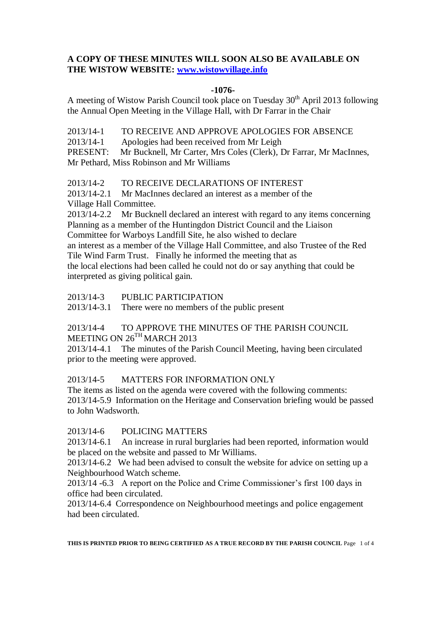## **A COPY OF THESE MINUTES WILL SOON ALSO BE AVAILABLE ON THE WISTOW WEBSITE: [www.wistowvillage.info](http://www.wistowvillage.info/)**

#### **-1076-**

A meeting of Wistow Parish Council took place on Tuesday  $30<sup>th</sup>$  April 2013 following the Annual Open Meeting in the Village Hall, with Dr Farrar in the Chair

2013/14-1 TO RECEIVE AND APPROVE APOLOGIES FOR ABSENCE

2013/14-1 Apologies had been received from Mr Leigh

PRESENT: Mr Bucknell, Mr Carter, Mrs Coles (Clerk), Dr Farrar, Mr MacInnes, Mr Pethard, Miss Robinson and Mr Williams

2013/14-2 TO RECEIVE DECLARATIONS OF INTEREST

2013/14-2.1 Mr MacInnes declared an interest as a member of the Village Hall Committee.

2013/14-2.2 Mr Bucknell declared an interest with regard to any items concerning Planning as a member of the Huntingdon District Council and the Liaison Committee for Warboys Landfill Site, he also wished to declare an interest as a member of the Village Hall Committee, and also Trustee of the Red Tile Wind Farm Trust. Finally he informed the meeting that as the local elections had been called he could not do or say anything that could be interpreted as giving political gain.

2013/14-3 PUBLIC PARTICIPATION

2013/14-3.1 There were no members of the public present

# 2013/14-4 TO APPROVE THE MINUTES OF THE PARISH COUNCIL MEETING ON 26<sup>TH</sup> MARCH 2013

2013/14-4.1 The minutes of the Parish Council Meeting, having been circulated prior to the meeting were approved.

#### 2013/14-5 MATTERS FOR INFORMATION ONLY

The items as listed on the agenda were covered with the following comments: 2013/14-5.9 Information on the Heritage and Conservation briefing would be passed to John Wadsworth.

## 2013/14-6 POLICING MATTERS

2013/14-6.1 An increase in rural burglaries had been reported, information would be placed on the website and passed to Mr Williams.

2013/14-6.2 We had been advised to consult the website for advice on setting up a Neighbourhood Watch scheme.

2013/14 -6.3 A report on the Police and Crime Commissioner's first 100 days in office had been circulated.

2013/14-6.4 Correspondence on Neighbourhood meetings and police engagement had been circulated.

**THIS IS PRINTED PRIOR TO BEING CERTIFIED AS A TRUE RECORD BY THE PARISH COUNCIL** Page 1 of 4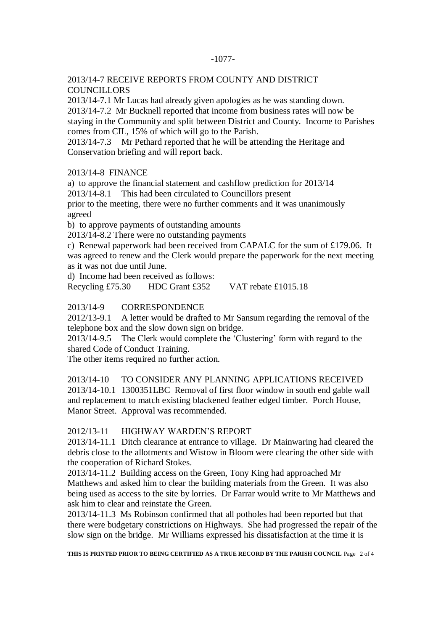#### -1077-

#### 2013/14-7 RECEIVE REPORTS FROM COUNTY AND DISTRICT **COUNCILLORS**

2013/14-7.1 Mr Lucas had already given apologies as he was standing down. 2013/14-7.2 Mr Bucknell reported that income from business rates will now be staying in the Community and split between District and County. Income to Parishes comes from CIL, 15% of which will go to the Parish.

2013/14-7.3 Mr Pethard reported that he will be attending the Heritage and Conservation briefing and will report back.

#### 2013/14-8 FINANCE

a) to approve the financial statement and cashflow prediction for 2013/14

2013/14-8.1 This had been circulated to Councillors present

prior to the meeting, there were no further comments and it was unanimously agreed

b) to approve payments of outstanding amounts

2013/14-8.2 There were no outstanding payments

c) Renewal paperwork had been received from CAPALC for the sum of £179.06. It was agreed to renew and the Clerk would prepare the paperwork for the next meeting as it was not due until June.

d) Income had been received as follows:

Recycling £75.30 HDC Grant £352 VAT rebate £1015.18

#### 2013/14-9 CORRESPONDENCE

2012/13-9.1 A letter would be drafted to Mr Sansum regarding the removal of the telephone box and the slow down sign on bridge.

2013/14-9.5 The Clerk would complete the 'Clustering' form with regard to the shared Code of Conduct Training.

The other items required no further action.

2013/14-10 TO CONSIDER ANY PLANNING APPLICATIONS RECEIVED 2013/14-10.1 1300351LBC Removal of first floor window in south end gable wall and replacement to match existing blackened feather edged timber. Porch House, Manor Street. Approval was recommended.

#### 2012/13-11 HIGHWAY WARDEN'S REPORT

2013/14-11.1 Ditch clearance at entrance to village. Dr Mainwaring had cleared the debris close to the allotments and Wistow in Bloom were clearing the other side with the cooperation of Richard Stokes.

2013/14-11.2 Building access on the Green, Tony King had approached Mr Matthews and asked him to clear the building materials from the Green. It was also being used as access to the site by lorries. Dr Farrar would write to Mr Matthews and ask him to clear and reinstate the Green.

2013/14-11.3 Ms Robinson confirmed that all potholes had been reported but that there were budgetary constrictions on Highways. She had progressed the repair of the slow sign on the bridge. Mr Williams expressed his dissatisfaction at the time it is

**THIS IS PRINTED PRIOR TO BEING CERTIFIED AS A TRUE RECORD BY THE PARISH COUNCIL** Page 2 of 4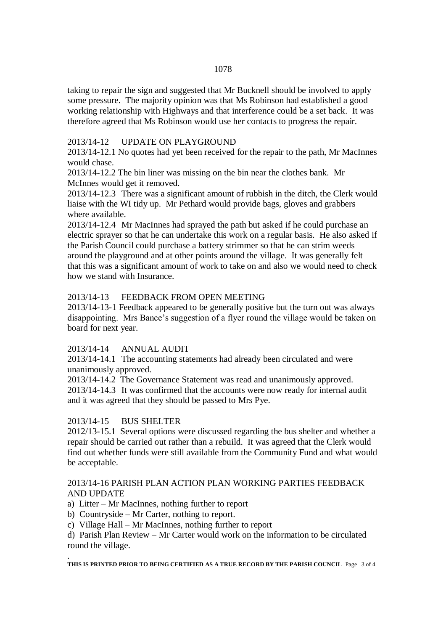taking to repair the sign and suggested that Mr Bucknell should be involved to apply some pressure. The majority opinion was that Ms Robinson had established a good working relationship with Highways and that interference could be a set back. It was therefore agreed that Ms Robinson would use her contacts to progress the repair.

#### 2013/14-12 UPDATE ON PLAYGROUND

2013/14-12.1 No quotes had yet been received for the repair to the path, Mr MacInnes would chase.

2013/14-12.2 The bin liner was missing on the bin near the clothes bank. Mr McInnes would get it removed.

2013/14-12.3 There was a significant amount of rubbish in the ditch, the Clerk would liaise with the WI tidy up. Mr Pethard would provide bags, gloves and grabbers where available.

2013/14-12.4 Mr MacInnes had sprayed the path but asked if he could purchase an electric sprayer so that he can undertake this work on a regular basis. He also asked if the Parish Council could purchase a battery strimmer so that he can strim weeds around the playground and at other points around the village. It was generally felt that this was a significant amount of work to take on and also we would need to check how we stand with Insurance.

## 2013/14-13 FEEDBACK FROM OPEN MEETING

2013/14-13-1 Feedback appeared to be generally positive but the turn out was always disappointing. Mrs Bance's suggestion of a flyer round the village would be taken on board for next year.

# 2013/14-14 ANNUAL AUDIT

2013/14-14.1 The accounting statements had already been circulated and were unanimously approved.

2013/14-14.2 The Governance Statement was read and unanimously approved. 2013/14-14.3 It was confirmed that the accounts were now ready for internal audit and it was agreed that they should be passed to Mrs Pye.

# 2013/14-15 BUS SHELTER

2012/13-15.1 Several options were discussed regarding the bus shelter and whether a repair should be carried out rather than a rebuild. It was agreed that the Clerk would find out whether funds were still available from the Community Fund and what would be acceptable.

## 2013/14-16 PARISH PLAN ACTION PLAN WORKING PARTIES FEEDBACK AND UPDATE

- a) Litter Mr MacInnes, nothing further to report
- b) Countryside Mr Carter, nothing to report.
- c) Village Hall Mr MacInnes, nothing further to report

d) Parish Plan Review – Mr Carter would work on the information to be circulated round the village.

. **THIS IS PRINTED PRIOR TO BEING CERTIFIED AS A TRUE RECORD BY THE PARISH COUNCIL** Page 3 of 4